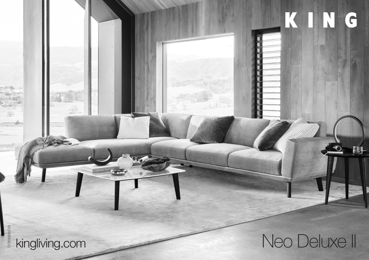**DT2020082V5** DT2020062 V5

# kingliving.com Neo Deluxe II

KING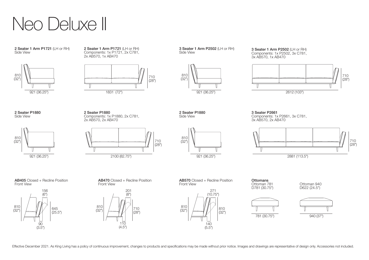

2 Seater 1 Arm P1721 (LH or RH) Side View



2 Seater 1 Arm P1721 (LH or RH) Components: 1x P1721, 2x C781, 2x AB570, 1x AB470



3 Seater 1 Arm P2502 (LH or RH) Side View



3 Seater 1 Arm P2502 (LH or RH) Components: 1x P2502, 3x C781, 3x AB570, 1x AB470



2 Seater P1880 Side View



2 Seater P1880 Components: 1x P1880, 2x C781, 2x AB570, 2x AB470







3 Seater P2661 Components: 1x P2661, 3x C781, 3x AB570, 2x AB470



**AB405** Closed + Recline Position<br>Front View







Ottoman 940 D622 (24.5")







AB470 Closed + Recline Position Front View AB570 Closed + Recline Position Front View 201 156<br>(6") (6") <sup>271</sup> Ottoman 781 D781 (30.75") **Ottomans** 

Effective December 2021. As King Living has a policy of continuous improvement, changes to products and specifications may be made without prior notice. Images and drawings are representative of design only. Accessories no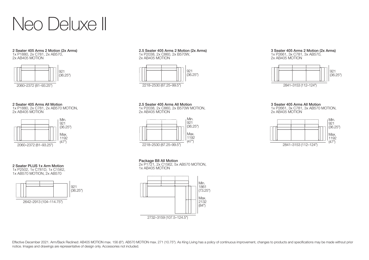

### 2 Seater 405 Arms 2 Motion (2x Arms) 1x P1880, 2x C781, 2x AB570,

2x AB405 MOTION



# 2 Seater 405 Arms All Motion

1x P1880, 2x C781, 2x AB570 MOTION, 2x AB405 MOTION



# 2 Seater PLUS 1x Arm Motion

1x P2502, 1x C781D, 1x C1562, 1x AB570 MOTION, 2x AB570



### 2.5 Seater 405 Arms 2 Motion (2x Arms) 1x P2038, 2x C860, 2x B570W,

2x AB405 MOTION



## 2.5 Seater 405 Arms All Motion

1x P2038, 2x C860, 2x B570W MOTION, 2x AB405 MOTION



# Package B8 All Motion

2x P1721, 2x C1562, 5x AB570 MOTION, 1x AB405 MOTION



# 3 Seater 405 Arms 2 Motion (2x Arms)

1x P2661, 3x C781, 3x AB570, 2x AB405 MOTION



# 3 Seater 405 Arms All Motion

1x P2661, 3x C781, 3x AB570 MOTION, 2x AB405 MOTION



Effective December 2021. Arm/Back Reclined: AB405 MOTION max. 156 (6"). AB570 MOTION max. 271 (10.75"). As King Living has a policy of continuous improvement, changes to products and specifications may be made without prio notice. Images and drawings are representative of design only. Accessories not included.